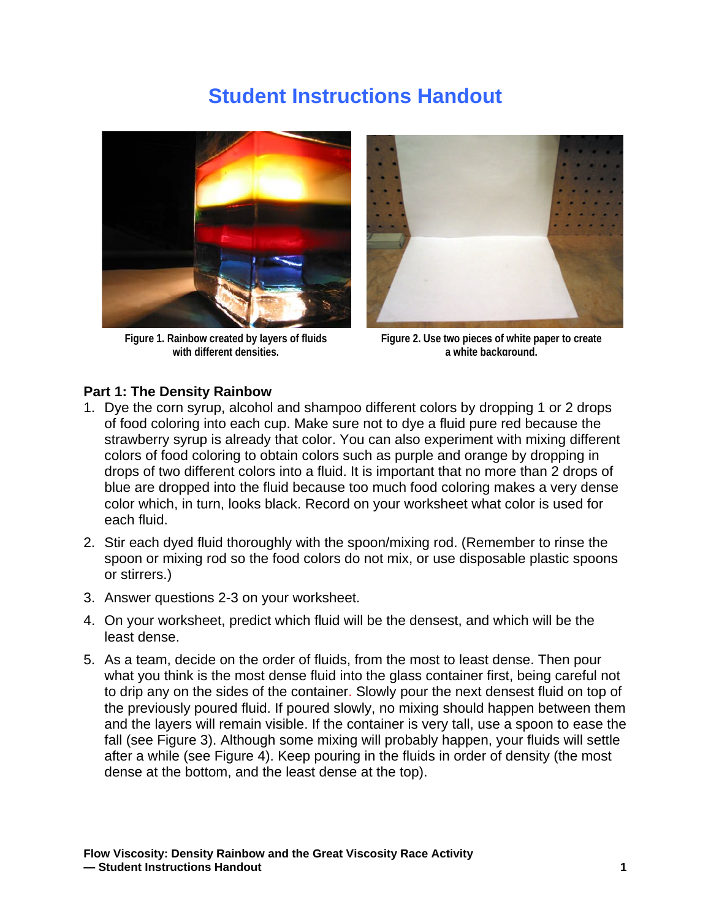## **Student Instructions Handout**



**Figure 1. Rainbow created by layers of fluids with different densities.**



**Figure 2. Use two pieces of white paper to create a white background.**

## **Part 1: The Density Rainbow**

- 1. Dye the corn syrup, alcohol and shampoo different colors by dropping 1 or 2 drops of food coloring into each cup. Make sure not to dye a fluid pure red because the strawberry syrup is already that color. You can also experiment with mixing different colors of food coloring to obtain colors such as purple and orange by dropping in drops of two different colors into a fluid. It is important that no more than 2 drops of blue are dropped into the fluid because too much food coloring makes a very dense color which, in turn, looks black. Record on your worksheet what color is used for each fluid.
- 2. Stir each dyed fluid thoroughly with the spoon/mixing rod. (Remember to rinse the spoon or mixing rod so the food colors do not mix, or use disposable plastic spoons or stirrers.)
- 3. Answer questions 2-3 on your worksheet.
- 4. On your worksheet, predict which fluid will be the densest, and which will be the least dense.
- 5. As a team, decide on the order of fluids, from the most to least dense. Then pour what you think is the most dense fluid into the glass container first, being careful not to drip any on the sides of the container. Slowly pour the next densest fluid on top of the previously poured fluid. If poured slowly, no mixing should happen between them and the layers will remain visible. If the container is very tall, use a spoon to ease the fall (see Figure 3). Although some mixing will probably happen, your fluids will settle after a while (see Figure 4). Keep pouring in the fluids in order of density (the most dense at the bottom, and the least dense at the top).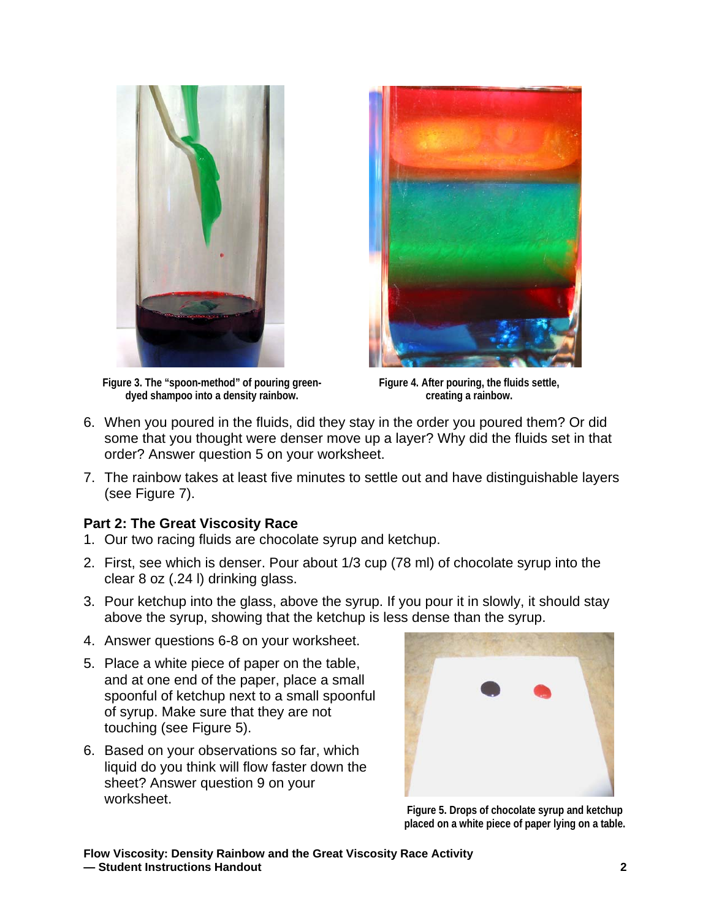

**Figure 3. The "spoon-method" of pouring greendyed shampoo into a density rainbow.** 



**Figure 4. After pouring, the fluids settle, creating a rainbow.** 

- 6. When you poured in the fluids, did they stay in the order you poured them? Or did some that you thought were denser move up a layer? Why did the fluids set in that order? Answer question 5 on your worksheet.
- 7. The rainbow takes at least five minutes to settle out and have distinguishable layers (see Figure 7).

## **Part 2: The Great Viscosity Race**

- 1. Our two racing fluids are chocolate syrup and ketchup.
- 2. First, see which is denser. Pour about 1/3 cup (78 ml) of chocolate syrup into the clear 8 oz (.24 l) drinking glass.
- 3. Pour ketchup into the glass, above the syrup. If you pour it in slowly, it should stay above the syrup, showing that the ketchup is less dense than the syrup.
- 4. Answer questions 6-8 on your worksheet.
- 5. Place a white piece of paper on the table, and at one end of the paper, place a small spoonful of ketchup next to a small spoonful of syrup. Make sure that they are not touching (see Figure 5).
- 6. Based on your observations so far, which liquid do you think will flow faster down the sheet? Answer question 9 on your worksheet.



**Figure 5. Drops of chocolate syrup and ketchup placed on a white piece of paper lying on a table.**